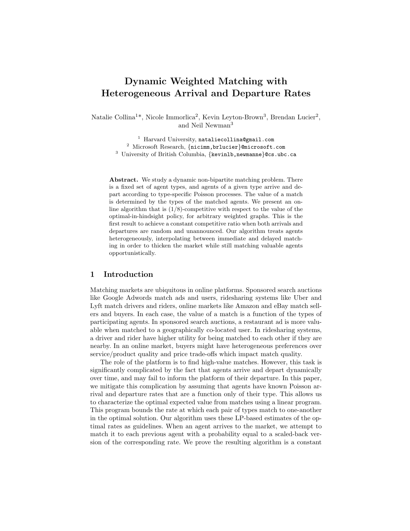# Dynamic Weighted Matching with Heterogeneous Arrival and Departure Rates

Natalie Collina<sup>1\*</sup>, Nicole Immorlica<sup>2</sup>, Kevin Leyton-Brown<sup>3</sup>, Brendan Lucier<sup>2</sup>, and Neil Newman<sup>3</sup>

> <sup>1</sup> Harvard University, nataliecollina@gmail.com <sup>2</sup> Microsoft Research, {nicimm, brlucier}@microsoft.com <sup>3</sup> University of British Columbia, {kevinlb,newmanne}@cs.ubc.ca

Abstract. We study a dynamic non-bipartite matching problem. There is a fixed set of agent types, and agents of a given type arrive and depart according to type-specific Poisson processes. The value of a match is determined by the types of the matched agents. We present an online algorithm that is  $(1/8)$ -competitive with respect to the value of the optimal-in-hindsight policy, for arbitrary weighted graphs. This is the first result to achieve a constant competitive ratio when both arrivals and departures are random and unannounced. Our algorithm treats agents heterogeneously, interpolating between immediate and delayed matching in order to thicken the market while still matching valuable agents opportunistically.

## 1 Introduction

Matching markets are ubiquitous in online platforms. Sponsored search auctions like Google Adwords match ads and users, ridesharing systems like Uber and Lyft match drivers and riders, online markets like Amazon and eBay match sellers and buyers. In each case, the value of a match is a function of the types of participating agents. In sponsored search auctions, a restaurant ad is more valuable when matched to a geographically co-located user. In ridesharing systems, a driver and rider have higher utility for being matched to each other if they are nearby. In an online market, buyers might have heterogeneous preferences over service/product quality and price trade-offs which impact match quality.

The role of the platform is to find high-value matches. However, this task is significantly complicated by the fact that agents arrive and depart dynamically over time, and may fail to inform the platform of their departure. In this paper, we mitigate this complication by assuming that agents have known Poisson arrival and departure rates that are a function only of their type. This allows us to characterize the optimal expected value from matches using a linear program. This program bounds the rate at which each pair of types match to one-another in the optimal solution. Our algorithm uses these LP-based estimates of the optimal rates as guidelines. When an agent arrives to the market, we attempt to match it to each previous agent with a probability equal to a scaled-back version of the corresponding rate. We prove the resulting algorithm is a constant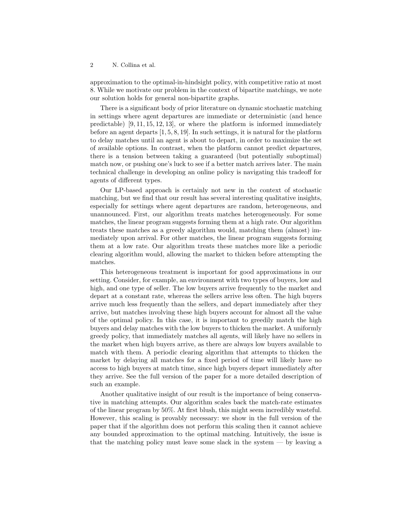### 2 N. Collina et al.

approximation to the optimal-in-hindsight policy, with competitive ratio at most 8. While we motivate our problem in the context of bipartite matchings, we note our solution holds for general non-bipartite graphs.

There is a significant body of prior literature on dynamic stochastic matching in settings where agent departures are immediate or deterministic (and hence predictable) [9, 11, 15, 12, 13], or where the platform is informed immediately before an agent departs [1, 5, 8, 19]. In such settings, it is natural for the platform to delay matches until an agent is about to depart, in order to maximize the set of available options. In contrast, when the platform cannot predict departures, there is a tension between taking a guaranteed (but potentially suboptimal) match now, or pushing one's luck to see if a better match arrives later. The main technical challenge in developing an online policy is navigating this tradeoff for agents of different types.

Our LP-based approach is certainly not new in the context of stochastic matching, but we find that our result has several interesting qualitative insights, especially for settings where agent departures are random, heterogeneous, and unannounced. First, our algorithm treats matches heterogeneously. For some matches, the linear program suggests forming them at a high rate. Our algorithm treats these matches as a greedy algorithm would, matching them (almost) immediately upon arrival. For other matches, the linear program suggests forming them at a low rate. Our algorithm treats these matches more like a periodic clearing algorithm would, allowing the market to thicken before attempting the matches.

This heterogeneous treatment is important for good approximations in our setting. Consider, for example, an environment with two types of buyers, low and high, and one type of seller. The low buyers arrive frequently to the market and depart at a constant rate, whereas the sellers arrive less often. The high buyers arrive much less frequently than the sellers, and depart immediately after they arrive, but matches involving these high buyers account for almost all the value of the optimal policy. In this case, it is important to greedily match the high buyers and delay matches with the low buyers to thicken the market. A uniformly greedy policy, that immediately matches all agents, will likely have no sellers in the market when high buyers arrive, as there are always low buyers available to match with them. A periodic clearing algorithm that attempts to thicken the market by delaying all matches for a fixed period of time will likely have no access to high buyers at match time, since high buyers depart immediately after they arrive. See the full version of the paper for a more detailed description of such an example.

Another qualitative insight of our result is the importance of being conservative in matching attempts. Our algorithm scales back the match-rate estimates of the linear program by 50%. At first blush, this might seem incredibly wasteful. However, this scaling is provably necessary: we show in the full version of the paper that if the algorithm does not perform this scaling then it cannot achieve any bounded approximation to the optimal matching. Intuitively, the issue is that the matching policy must leave some slack in the system — by leaving a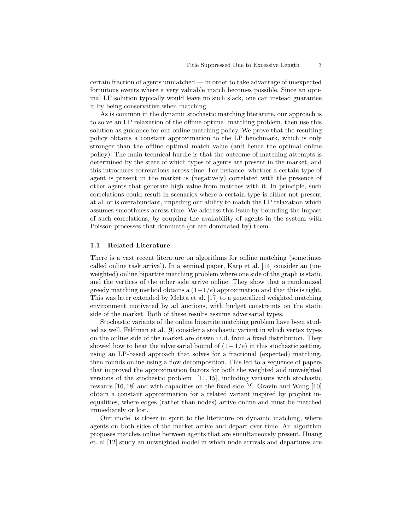certain fraction of agents unmatched — in order to take advantage of unexpected fortuitous events where a very valuable match becomes possible. Since an optimal LP solution typically would leave no such slack, one can instead guarantee it by being conservative when matching.

As is common in the dynamic stochastic matching literature, our approach is to solve an LP relaxation of the offline optimal matching problem, then use this solution as guidance for our online matching policy. We prove that the resulting policy obtains a constant approximation to the LP benchmark, which is only stronger than the offline optimal match value (and hence the optimal online policy). The main technical hurdle is that the outcome of matching attempts is determined by the state of which types of agents are present in the market, and this introduces correlations across time. For instance, whether a certain type of agent is present in the market is (negatively) correlated with the presence of other agents that generate high value from matches with it. In principle, such correlations could result in scenarios where a certain type is either not present at all or is overabundant, impeding our ability to match the LP relaxation which assumes smoothness across time. We address this issue by bounding the impact of such correlations, by coupling the availability of agents in the system with Poisson processes that dominate (or are dominated by) them.

#### 1.1 Related Literature

There is a vast recent literature on algorithms for online matching (sometimes called online task arrival). In a seminal paper, Karp et al. [14] consider an (unweighted) online bipartite matching problem where one side of the graph is static and the vertices of the other side arrive online. They show that a randomized greedy matching method obtains a  $(1-1/e)$  approximation and that this is tight. This was later extended by Mehta et al. [17] to a generalized weighted matching environment motivated by ad auctions, with budget constraints on the static side of the market. Both of these results assume adversarial types.

Stochastic variants of the online bipartite matching problem have been studied as well. Feldman et al. [9] consider a stochastic variant in which vertex types on the online side of the market are drawn i.i.d. from a fixed distribution. They showed how to beat the adversarial bound of  $(1 - 1/e)$  in this stochastic setting, using an LP-based approach that solves for a fractional (expected) matching, then rounds online using a flow decomposition. This led to a sequence of papers that improved the approximation factors for both the weighted and unweighted versions of the stochastic problem [11, 15], including variants with stochastic rewards [16, 18] and with capacities on the fixed side [2]. Gravin and Wang [10] obtain a constant approximation for a related variant inspired by prophet inequalities, where edges (rather than nodes) arrive online and must be matched immediately or lost.

Our model is closer in spirit to the literature on dynamic matching, where agents on both sides of the market arrive and depart over time. An algorithm proposes matches online between agents that are simultaneously present. Huang et. al [12] study an unweighted model in which node arrivals and departures are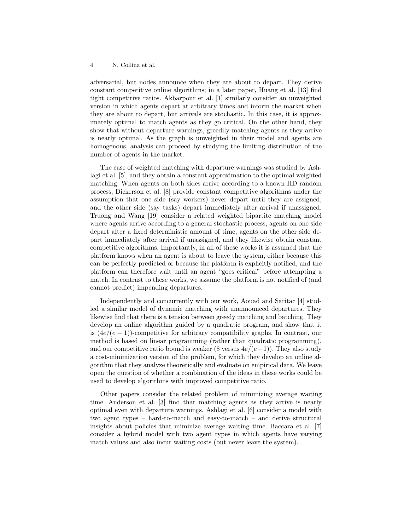#### 4 N. Collina et al.

adversarial, but nodes announce when they are about to depart. They derive constant competitive online algorithms; in a later paper, Huang et al. [13] find tight competitive ratios. Akbarpour et al. [1] similarly consider an unweighted version in which agents depart at arbitrary times and inform the market when they are about to depart, but arrivals are stochastic. In this case, it is approximately optimal to match agents as they go critical. On the other hand, they show that without departure warnings, greedily matching agents as they arrive is nearly optimal. As the graph is unweighted in their model and agents are homogenous, analysis can proceed by studying the limiting distribution of the number of agents in the market.

The case of weighted matching with departure warnings was studied by Ashlagi et al. [5], and they obtain a constant approximation to the optimal weighted matching. When agents on both sides arrive according to a known IID random process, Dickerson et al. [8] provide constant competitive algorithms under the assumption that one side (say workers) never depart until they are assigned, and the other side (say tasks) depart immediately after arrival if unassigned. Truong and Wang [19] consider a related weighted bipartite matching model where agents arrive according to a general stochastic process, agents on one side depart after a fixed deterministic amount of time, agents on the other side depart immediately after arrival if unassigned, and they likewise obtain constant competitive algorithms. Importantly, in all of these works it is assumed that the platform knows when an agent is about to leave the system, either because this can be perfectly predicted or because the platform is explicitly notified, and the platform can therefore wait until an agent "goes critical" before attempting a match. In contrast to these works, we assume the platform is not notified of (and cannot predict) impending departures.

Independently and concurrently with our work, Aouad and Saritac [4] studied a similar model of dynamic matching with unannounced departures. They likewise find that there is a tension between greedy matching and batching. They develop an online algorithm guided by a quadratic program, and show that it is  $(4e/(e-1))$ -competitive for arbitrary compatibility graphs. In contrast, our method is based on linear programming (rather than quadratic programming), and our competitive ratio bound is weaker (8 versus  $4e/(e-1)$ ). They also study a cost-minimization version of the problem, for which they develop an online algorithm that they analyze theoretically and evaluate on empirical data. We leave open the question of whether a combination of the ideas in these works could be used to develop algorithms with improved competitive ratio.

Other papers consider the related problem of minimizing average waiting time. Anderson et al. [3] find that matching agents as they arrive is nearly optimal even with departure warnings. Ashlagi et al. [6] consider a model with two agent types – hard-to-match and easy-to-match – and derive structural insights about policies that miminize average waiting time. Baccara et al. [7] consider a hybrid model with two agent types in which agents have varying match values and also incur waiting costs (but never leave the system).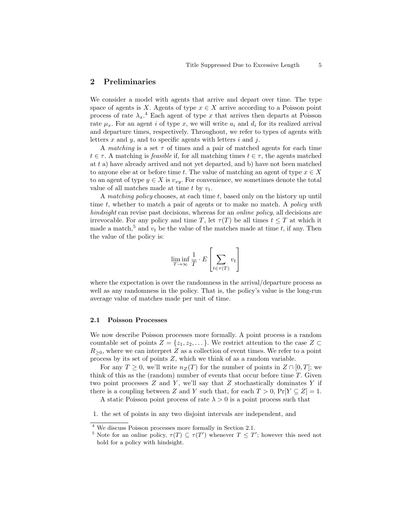# 2 Preliminaries

We consider a model with agents that arrive and depart over time. The type space of agents is X. Agents of type  $x \in X$  arrive according to a Poisson point process of rate  $\lambda_x$ .<sup>4</sup> Each agent of type x that arrives then departs at Poisson rate  $\mu_x$ . For an agent i of type x, we will write  $a_i$  and  $d_i$  for its realized arrival and departure times, respectively. Throughout, we refer to types of agents with letters  $x$  and  $y$ , and to specific agents with letters  $i$  and  $j$ .

A matching is a set  $\tau$  of times and a pair of matched agents for each time  $t \in \tau$ . A matching is *feasible* if, for all matching times  $t \in \tau$ , the agents matched at t a) have already arrived and not yet departed, and b) have not been matched to anyone else at or before time t. The value of matching an agent of type  $x \in X$ to an agent of type  $y \in X$  is  $v_{xy}$ . For convenience, we sometimes denote the total value of all matches made at time  $t$  by  $v_t$ .

A matching policy chooses, at each time t, based only on the history up until time t, whether to match a pair of agents or to make no match. A *policy with* hindsight can revise past decisions, whereas for an *online policy*, all decisions are irrevocable. For any policy and time T, let  $\tau(T)$  be all times  $t \leq T$  at which it made a match,<sup>5</sup> and  $v_t$  be the value of the matches made at time t, if any. Then the value of the policy is:

$$
\liminf_{T \to \infty} \frac{1}{T} \cdot E\left[\sum_{t \in \tau(T)} v_t\right]
$$

where the expectation is over the randomness in the arrival/departure process as well as any randomness in the policy. That is, the policy's value is the long-run average value of matches made per unit of time.

#### 2.1 Poisson Processes

We now describe Poisson processes more formally. A point process is a random countable set of points  $Z = \{z_1, z_2, \dots\}$ . We restrict attention to the case  $Z \subset$  $R_{\geq 0}$ , where we can interpret Z as a collection of event times. We refer to a point process by its set of points Z, which we think of as a random variable.

For any  $T \geq 0$ , we'll write  $n_Z(T)$  for the number of points in  $Z \cap [0,T]$ ; we think of this as the (random) number of events that occur before time  $T$ . Given two point processes  $Z$  and  $Y$ , we'll say that  $Z$  stochastically dominates  $Y$  if there is a coupling between Z and Y such that, for each  $T > 0$ ,  $Pr[Y \subseteq Z] = 1$ .

A static Poisson point process of rate  $\lambda > 0$  is a point process such that

1. the set of points in any two disjoint intervals are independent, and

<sup>4</sup> We discuss Poisson processes more formally in Section 2.1.

<sup>&</sup>lt;sup>5</sup> Note for an online policy,  $\tau(T) \subseteq \tau(T')$  whenever  $T \leq T'$ ; however this need not hold for a policy with hindsight.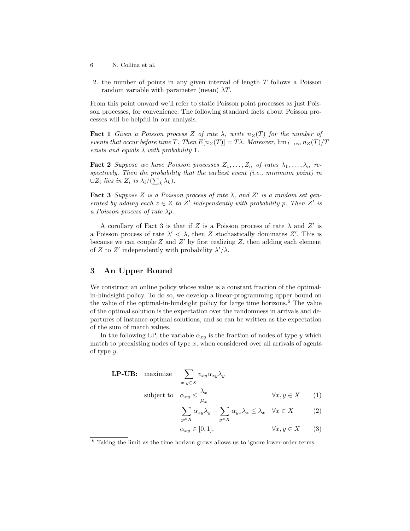- 6 N. Collina et al.
- 2. the number of points in any given interval of length T follows a Poisson random variable with parameter (mean)  $\lambda T$ .

From this point onward we'll refer to static Poisson point processes as just Poisson processes, for convenience. The following standard facts about Poisson processes will be helpful in our analysis.

**Fact 1** Given a Poisson process Z of rate  $\lambda$ , write  $n_Z(T)$  for the number of events that occur before time T. Then  $E[n_Z(T)] = T\lambda$ . Moreover,  $\lim_{T\to\infty} n_Z(T)/T$ exists and equals  $\lambda$  with probability 1.

**Fact 2** Suppose we have Poisson processes  $Z_1, \ldots, Z_n$  of rates  $\lambda_1, \ldots, \lambda_n$  respectively. Then the probability that the earliest event  $(i.e., minimum point)$  in  $\cup Z_i$  lies in  $Z_i$  is  $\lambda_i/(\sum_k \lambda_k)$ .

Fact 3 Suppose Z is a Poisson process of rate  $\lambda$ , and Z' is a random set generated by adding each  $z \in Z$  to  $Z'$  independently with probability p. Then  $Z'$  is a Poisson process of rate  $\lambda p$ .

A corollary of Fact 3 is that if Z is a Poisson process of rate  $\lambda$  and Z' is a Poisson process of rate  $\lambda' < \lambda$ , then Z stochastically dominates Z'. This is because we can couple  $Z$  and  $Z'$  by first realizing  $Z$ , then adding each element of Z to Z' independently with probability  $\lambda'/\lambda$ .

# 3 An Upper Bound

We construct an online policy whose value is a constant fraction of the optimalin-hindsight policy. To do so, we develop a linear-programming upper bound on the value of the optimal-in-hindsight policy for large time horizons.<sup>6</sup> The value of the optimal solution is the expectation over the randomness in arrivals and departures of instance-optimal solutions, and so can be written as the expectation of the sum of match values.

In the following LP, the variable  $\alpha_{xy}$  is the fraction of nodes of type y which match to preexisting nodes of type  $x$ , when considered over all arrivals of agents of type y.

**LP-UB:** maximize 
$$
\sum_{x,y \in X} v_{xy} \alpha_{xy} \lambda_y
$$
subject to 
$$
\alpha_{xy} \leq \frac{\lambda_x}{\mu_x}
$$
  $\forall x, y \in X$  (1)

$$
\sum_{y \in X} \alpha_{xy} \lambda_y + \sum_{y \in X} \alpha_{yx} \lambda_x \le \lambda_x \quad \forall x \in X \tag{2}
$$

$$
\alpha_{xy} \in [0, 1], \qquad \forall x, y \in X \qquad (3)
$$

<sup>6</sup> Taking the limit as the time horizon grows allows us to ignore lower-order terms.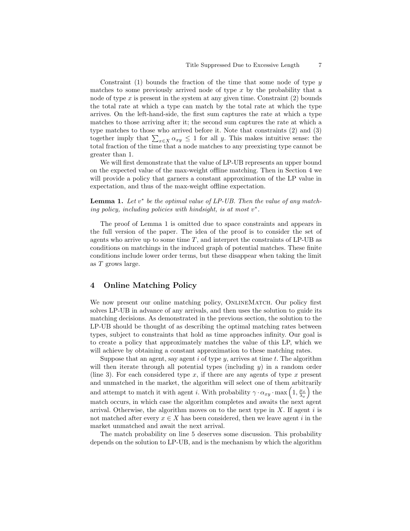Constraint  $(1)$  bounds the fraction of the time that some node of type y matches to some previously arrived node of type  $x$  by the probability that a node of type  $x$  is present in the system at any given time. Constraint  $(2)$  bounds the total rate at which a type can match by the total rate at which the type arrives. On the left-hand-side, the first sum captures the rate at which a type matches to those arriving after it; the second sum captures the rate at which a type matches to those who arrived before it. Note that constraints (2) and (3) together imply that  $\sum_{x \in X} \alpha_{xy} \leq 1$  for all y. This makes intuitive sense: the total fraction of the time that a node matches to any preexisting type cannot be greater than 1.

We will first demonstrate that the value of LP-UB represents an upper bound on the expected value of the max-weight offline matching. Then in Section 4 we will provide a policy that garners a constant approximation of the LP value in expectation, and thus of the max-weight offline expectation.

**Lemma 1.** Let  $v^*$  be the optimal value of LP-UB. Then the value of any matching policy, including policies with hindsight, is at most  $v^*$ .

The proof of Lemma 1 is omitted due to space constraints and appears in the full version of the paper. The idea of the proof is to consider the set of agents who arrive up to some time  $T$ , and interpret the constraints of LP-UB as conditions on matchings in the induced graph of potential matches. These finite conditions include lower order terms, but these disappear when taking the limit as T grows large.

# 4 Online Matching Policy

We now present our online matching policy, ONLINEMATCH. Our policy first solves LP-UB in advance of any arrivals, and then uses the solution to guide its matching decisions. As demonstrated in the previous section, the solution to the LP-UB should be thought of as describing the optimal matching rates between types, subject to constraints that hold as time approaches infinity. Our goal is to create a policy that approximately matches the value of this LP, which we will achieve by obtaining a constant approximation to these matching rates.

Suppose that an agent, say agent  $i$  of type  $y$ , arrives at time  $t$ . The algorithm will then iterate through all potential types (including  $y$ ) in a random order (line 3). For each considered type x, if there are any agents of type x present and unmatched in the market, the algorithm will select one of them arbitrarily and attempt to match it with agent *i*. With probability  $\gamma \cdot \alpha_{xy} \cdot \max\left(1, \frac{\mu_x}{\lambda_x}\right)$  the match occurs, in which case the algorithm completes and awaits the next agent arrival. Otherwise, the algorithm moves on to the next type in  $X$ . If agent i is not matched after every  $x \in X$  has been considered, then we leave agent i in the market unmatched and await the next arrival.

The match probability on line 5 deserves some discussion. This probability depends on the solution to LP-UB, and is the mechanism by which the algorithm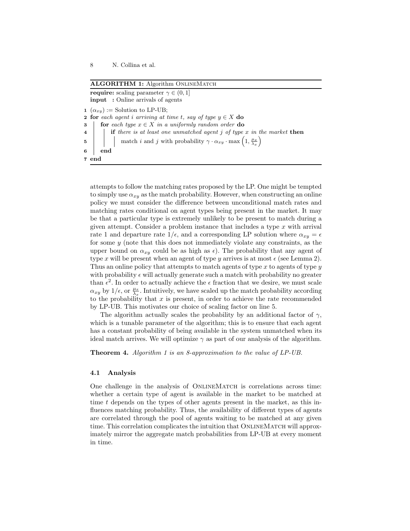ALGORITHM 1: Algorithm OnlineMatch **require:** scaling parameter  $\gamma \in (0, 1]$ input : Online arrivals of agents 1  $(\alpha_{xy})$  := Solution to LP-UB; 2 for each agent i arriving at time t, say of type  $y \in X$  do 3 for each type  $x \in X$  in a uniformly random order do  $\begin{array}{c|c|c|c} 4 & \text{if there is at least one unmatched agent } j \text{ of type } x \text{ in the market } \textbf{then} \end{array}$ 5  $\Big|\Big|$  match i and j with probability  $\gamma \cdot \alpha_{xy} \cdot \max\left(1, \frac{\mu_x}{\lambda_x}\right)$  $6$  | end 7 end

attempts to follow the matching rates proposed by the LP. One might be tempted to simply use  $\alpha_{xy}$  as the match probability. However, when constructing an online policy we must consider the difference between unconditional match rates and matching rates conditional on agent types being present in the market. It may be that a particular type is extremely unlikely to be present to match during a given attempt. Consider a problem instance that includes a type x with arrival rate 1 and departure rate  $1/\epsilon$ , and a corresponding LP solution where  $\alpha_{xy} = \epsilon$ for some y (note that this does not immediately violate any constraints, as the upper bound on  $\alpha_{xy}$  could be as high as  $\epsilon$ ). The probability that any agent of type x will be present when an agent of type y arrives is at most  $\epsilon$  (see Lemma 2). Thus an online policy that attempts to match agents of type  $x$  to agents of type  $y$ with probability  $\epsilon$  will actually generate such a match with probability no greater than  $\epsilon^2$ . In order to actually achieve the  $\epsilon$  fraction that we desire, we must scale  $\alpha_{xy}$  by  $1/\epsilon$ , or  $\frac{\mu_x}{\lambda_x}$ . Intuitively, we have scaled up the match probability according to the probability that  $x$  is present, in order to achieve the rate recommended by LP-UB. This motivates our choice of scaling factor on line 5.

The algorithm actually scales the probability by an additional factor of  $\gamma$ , which is a tunable parameter of the algorithm; this is to ensure that each agent has a constant probability of being available in the system unmatched when its ideal match arrives. We will optimize  $\gamma$  as part of our analysis of the algorithm.

Theorem 4. Algorithm 1 is an 8-approximation to the value of LP-UB.

#### 4.1 Analysis

One challenge in the analysis of ONLINEMATCH is correlations across time: whether a certain type of agent is available in the market to be matched at time  $t$  depends on the types of other agents present in the market, as this influences matching probability. Thus, the availability of different types of agents are correlated through the pool of agents waiting to be matched at any given time. This correlation complicates the intuition that ONLINEMATCH will approximately mirror the aggregate match probabilities from LP-UB at every moment in time.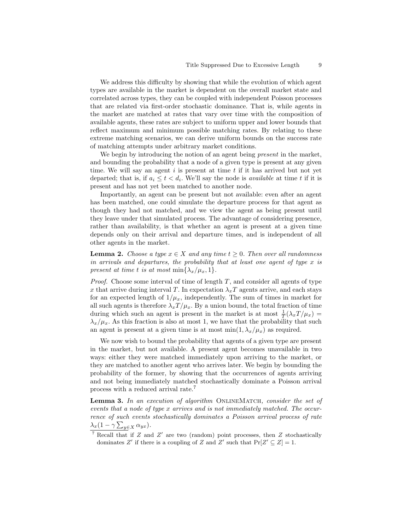We address this difficulty by showing that while the evolution of which agent types are available in the market is dependent on the overall market state and correlated across types, they can be coupled with independent Poisson processes that are related via first-order stochastic dominance. That is, while agents in the market are matched at rates that vary over time with the composition of available agents, these rates are subject to uniform upper and lower bounds that reflect maximum and minimum possible matching rates. By relating to these extreme matching scenarios, we can derive uniform bounds on the success rate of matching attempts under arbitrary market conditions.

We begin by introducing the notion of an agent being *present* in the market, and bounding the probability that a node of a given type is present at any given time. We will say an agent  $i$  is present at time  $t$  if it has arrived but not yet departed; that is, if  $a_i \leq t < d_i$ . We'll say the node is *available* at time t if it is present and has not yet been matched to another node.

Importantly, an agent can be present but not available: even after an agent has been matched, one could simulate the departure process for that agent as though they had not matched, and we view the agent as being present until they leave under that simulated process. The advantage of considering presence, rather than availability, is that whether an agent is present at a given time depends only on their arrival and departure times, and is independent of all other agents in the market.

**Lemma 2.** Choose a type  $x \in X$  and any time  $t \geq 0$ . Then over all randomness in arrivals and departures, the probability that at least one agent of type  $x$  is present at time t is at most  $\min\{\lambda_x/\mu_x, 1\}.$ 

*Proof.* Choose some interval of time of length  $T$ , and consider all agents of type x that arrive during interval T. In expectation  $\lambda_x T$  agents arrive, and each stays for an expected length of  $1/\mu_x$ , independently. The sum of times in market for all such agents is therefore  $\lambda_x T / \mu_x$ . By a union bound, the total fraction of time during which such an agent is present in the market is at most  $\frac{1}{T}(\lambda_x T/\mu_x)$  =  $\lambda_x/\mu_x$ . As this fraction is also at most 1, we have that the probability that such an agent is present at a given time is at most  $\min(1, \lambda_x/\mu_x)$  as required.

We now wish to bound the probability that agents of a given type are present in the market, but not available. A present agent becomes unavailable in two ways: either they were matched immediately upon arriving to the market, or they are matched to another agent who arrives later. We begin by bounding the probability of the former, by showing that the occurrences of agents arriving and not being immediately matched stochastically dominate a Poisson arrival process with a reduced arrival rate.<sup>7</sup>

Lemma 3. In an execution of algorithm ONLINEMATCH, consider the set of events that a node of type x arrives and is not immediately matched. The occurrence of such events stochastically dominates a Poisson arrival process of rate  $\lambda_x(1-\gamma\sum_{y\in X}\alpha_{yx}).$ 

<sup>&</sup>lt;sup>7</sup> Recall that if  $Z$  and  $Z'$  are two (random) point processes, then  $Z$  stochastically dominates Z' if there is a coupling of Z and Z' such that  $Pr[Z' \subseteq Z] = 1$ .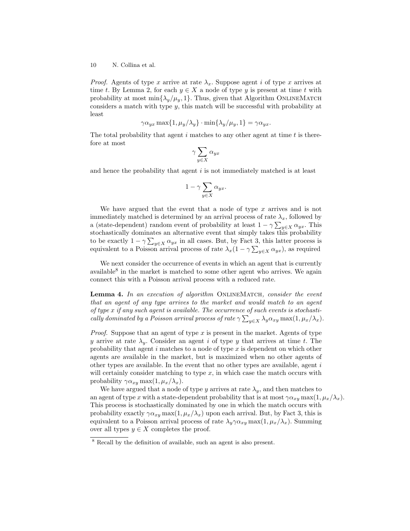10 N. Collina et al.

*Proof.* Agents of type x arrive at rate  $\lambda_x$ . Suppose agent i of type x arrives at time t. By Lemma 2, for each  $y \in X$  a node of type y is present at time t with probability at most min $\{\lambda_y/\mu_y, 1\}$ . Thus, given that Algorithm ONLINEMATCH considers a match with type y, this match will be successful with probability at least

$$
\gamma \alpha_{yx} \max\{1, \mu_y/\lambda_y\} \cdot \min\{\lambda_y/\mu_y, 1\} = \gamma \alpha_{yx}.
$$

The total probability that agent  $i$  matches to any other agent at time  $t$  is therefore at most

$$
\gamma \sum_{y \in X} \alpha_{yx}
$$

and hence the probability that agent  $i$  is not immediately matched is at least

$$
1 - \gamma \sum_{y \in X} \alpha_{yx}.
$$

We have argued that the event that a node of type  $x$  arrives and is not immediately matched is determined by an arrival process of rate  $\lambda_x$ , followed by a (state-dependent) random event of probability at least  $1 - \gamma \sum_{y \in X} \alpha_{yx}$ . This stochastically dominates an alternative event that simply takes this probability to be exactly  $1 - \gamma \sum_{y \in X} \alpha_{yx}$  in all cases. But, by Fact 3, this latter process is equivalent to a Poisson arrival process of rate  $\lambda_x(1-\gamma\sum_{y\in X}\alpha_{yx})$ , as required

We next consider the occurrence of events in which an agent that is currently available $8$  in the market is matched to some other agent who arrives. We again connect this with a Poisson arrival process with a reduced rate.

Lemma 4. In an execution of algorithm ONLINEMATCH, consider the event that an agent of any type arrives to the market and would match to an agent of type x if any such agent is available. The occurrence of such events is stochastically dominated by a Poisson arrival process of rate  $\gamma \sum_{y \in X} \lambda_y \alpha_{xy} \max(1, \mu_x/\lambda_x)$ .

*Proof.* Suppose that an agent of type  $x$  is present in the market. Agents of type y arrive at rate  $\lambda_y$ . Consider an agent i of type y that arrives at time t. The probability that agent i matches to a node of type  $x$  is dependent on which other agents are available in the market, but is maximized when no other agents of other types are available. In the event that no other types are available, agent  $i$ will certainly consider matching to type  $x$ , in which case the match occurs with probability  $\gamma \alpha_{xy} \max(1, \mu_x/\lambda_x)$ .

We have argued that a node of type y arrives at rate  $\lambda_y$ , and then matches to an agent of type x with a state-dependent probability that is at most  $\gamma \alpha_{xy} \max(1, \mu_x/\lambda_x)$ . This process is stochastically dominated by one in which the match occurs with probability exactly  $\gamma \alpha_{xy}$  max $(1, \mu_x/\lambda_x)$  upon each arrival. But, by Fact 3, this is equivalent to a Poisson arrival process of rate  $\lambda_y \gamma \alpha_{xy} \max(1, \mu_x/\lambda_x)$ . Summing over all types  $y \in X$  completes the proof.

<sup>&</sup>lt;sup>8</sup> Recall by the definition of available, such an agent is also present.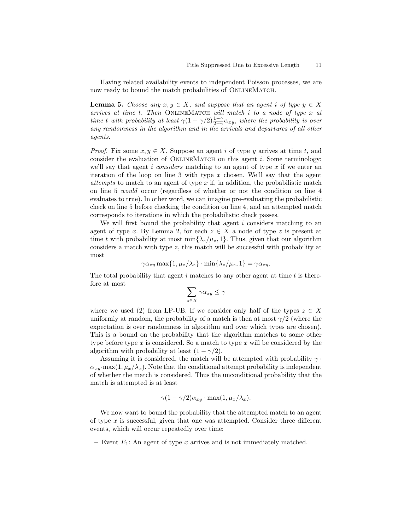Having related availability events to independent Poisson processes, we are now ready to bound the match probabilities of ONLINEMATCH.

**Lemma 5.** Choose any  $x, y \in X$ , and suppose that an agent i of type  $y \in X$ arrives at time t. Then ONLINEMATCH will match i to a node of type  $x$  at time t with probability at least  $\gamma(1-\gamma/2)\frac{1-\gamma}{2-\gamma}\alpha_{xy}$ , where the probability is over any randomness in the algorithm and in the arrivals and departures of all other agents.

*Proof.* Fix some  $x, y \in X$ . Suppose an agent i of type y arrives at time t, and consider the evaluation of ONLINEMATCH on this agent  $i$ . Some terminology: we'll say that agent i considers matching to an agent of type  $x$  if we enter an iteration of the loop on line 3 with type  $x$  chosen. We'll say that the agent attempts to match to an agent of type  $x$  if, in addition, the probabilistic match on line 5 would occur (regardless of whether or not the condition on line 4 evaluates to true). In other word, we can imagine pre-evaluating the probabilistic check on line 5 before checking the condition on line 4, and an attempted match corresponds to iterations in which the probabilistic check passes.

We will first bound the probability that agent  $i$  considers matching to an agent of type x. By Lemma 2, for each  $z \in X$  a node of type z is present at time t with probability at most min $\{\lambda_z/\mu_z, 1\}$ . Thus, given that our algorithm considers a match with type z, this match will be successful with probability at most

$$
\gamma \alpha_{zy} \max\{1, \mu_z/\lambda_z\} \cdot \min\{\lambda_z/\mu_z, 1\} = \gamma \alpha_{zy}.
$$

The total probability that agent  $i$  matches to any other agent at time  $t$  is therefore at most

$$
\sum_{z \in X} \gamma \alpha_{zy} \leq \gamma
$$

where we used (2) from LP-UB. If we consider only half of the types  $z \in X$ uniformly at random, the probability of a match is then at most  $\gamma/2$  (where the expectation is over randomness in algorithm and over which types are chosen). This is a bound on the probability that the algorithm matches to some other type before type  $x$  is considered. So a match to type  $x$  will be considered by the algorithm with probability at least  $(1 - \gamma/2)$ .

Assuming it is considered, the match will be attempted with probability  $\gamma$ .  $\alpha_{xy}$ ·max $(1, \mu_x/\lambda_x)$ . Note that the conditional attempt probability is independent of whether the match is considered. Thus the unconditional probability that the match is attempted is at least

$$
\gamma(1-\gamma/2)\alpha_{xy} \cdot \max(1,\mu_x/\lambda_x).
$$

We now want to bound the probability that the attempted match to an agent of type  $x$  is successful, given that one was attempted. Consider three different events, which will occur repeatedly over time:

– Event  $E_1$ : An agent of type x arrives and is not immediately matched.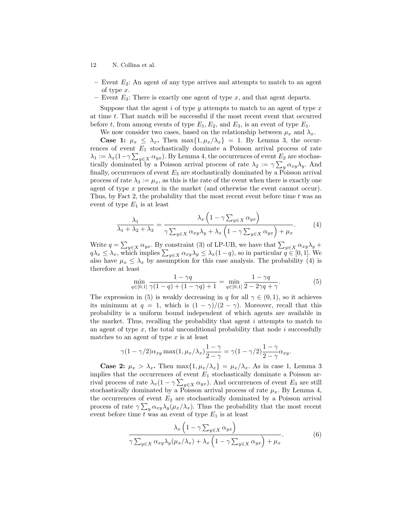- 12 N. Collina et al.
	- Event  $E_2$ : An agent of any type arrives and attempts to match to an agent of type x.
	- Event  $E_3$ : There is exactly one agent of type x, and that agent departs.

Suppose that the agent  $i$  of type  $y$  attempts to match to an agent of type  $x$ at time t. That match will be successful if the most recent event that occurred before t, from among events of type  $E_1, E_2$ , and  $E_3$ , is an event of type  $E_1$ .

We now consider two cases, based on the relationship between  $\mu_x$  and  $\lambda_x$ .

Case 1:  $\mu_x \leq \lambda_x$ . Then  $\max\{1, \mu_x/\lambda_x\} = 1$ . By Lemma 3, the occurrences of event  $E_1$  stochastically dominate a Poisson arrival process of rate  $\lambda_1 := \lambda_x (1 - \gamma \sum_{y \in X} \alpha_{yx}).$  By Lemma 4, the occurrences of event  $E_2$  are stochastically dominated by a Poisson arrival process of rate  $\lambda_2 := \gamma \sum_{y} \alpha_{xy} \lambda_y$ . And finally, occurrences of event  $E_3$  are stochastically dominated by a Poisson arrival process of rate  $\lambda_3 := \mu_x$ , as this is the rate of the event when there is exactly one agent of type x present in the market (and otherwise the event cannot occur). Thus, by Fact 2, the probability that the most recent event before time  $t$  was an event of type  $E_1$  is at least

$$
\frac{\lambda_1}{\lambda_1 + \lambda_2 + \lambda_3} = \frac{\lambda_x \left(1 - \gamma \sum_{y \in X} \alpha_{yx}\right)}{\gamma \sum_{y \in X} \alpha_{xy} \lambda_y + \lambda_x \left(1 - \gamma \sum_{y \in X} \alpha_{yx}\right) + \mu_x}.
$$
 (4)

Write  $q = \sum_{y \in X} \alpha_{yx}$ . By constraint (3) of LP-UB, we have that  $\sum_{y \in X} \alpha_{xy} \lambda_y +$  $q\lambda_x \leq \lambda_x$ , which implies  $\sum_{y\in X} \alpha_{xy}\lambda_y \leq \lambda_x(1-q)$ , so in particular  $q \in [0,1]$ . We also have  $\mu_x \leq \lambda_x$  by assumption for this case analysis. The probability (4) is therefore at least

$$
\min_{q \in [0,1]} \frac{1 - \gamma q}{\gamma (1 - q) + (1 - \gamma q) + 1} = \min_{q \in [0,1]} \frac{1 - \gamma q}{2 - 2\gamma q + \gamma}.
$$
\n(5)

The expression in (5) is weakly decreasing in q for all  $\gamma \in (0,1)$ , so it achieves its minimum at  $q = 1$ , which is  $(1 - \gamma)/(2 - \gamma)$ . Moreover, recall that this probability is a uniform bound independent of which agents are available in the market. Thus, recalling the probability that agent  $i$  attempts to match to an agent of type x, the total unconditional probability that node i successfully matches to an agent of type  $x$  is at least

$$
\gamma (1 - \gamma/2) \alpha_{xy} \max(1, \mu_x/\lambda_x) \frac{1 - \gamma}{2 - \gamma} = \gamma (1 - \gamma/2) \frac{1 - \gamma}{2 - \gamma} \alpha_{xy}.
$$

**Case 2:**  $\mu_x > \lambda_x$ . Then max $\{1, \mu_x/\lambda_x\} = \mu_x/\lambda_x$ . As in case 1, Lemma 3 implies that the occurrences of event  $E_1$  stochastically dominate a Poisson arrival process of rate  $\lambda_x(1-\gamma\sum_{y\in X}\alpha_{yx})$ . And occurrences of event  $E_3$  are still stochastically dominated by a Poisson arrival process of rate  $\mu_x$ . By Lemma 4, the occurrences of event  $E_2$  are stochastically dominated by a Poisson arrival process of rate  $\gamma \sum_{y} \alpha_{xy} \lambda_{y} (\mu_{x}/\lambda_{x})$ . Thus the probability that the most recent event before time  $t$  was an event of type  $E_1$  is at least

$$
\frac{\lambda_x \left(1 - \gamma \sum_{y \in X} \alpha_{yx}\right)}{\gamma \sum_{y \in X} \alpha_{xy} \lambda_y (\mu_x/\lambda_x) + \lambda_x \left(1 - \gamma \sum_{y \in X} \alpha_{yx}\right) + \mu_x}.
$$
(6)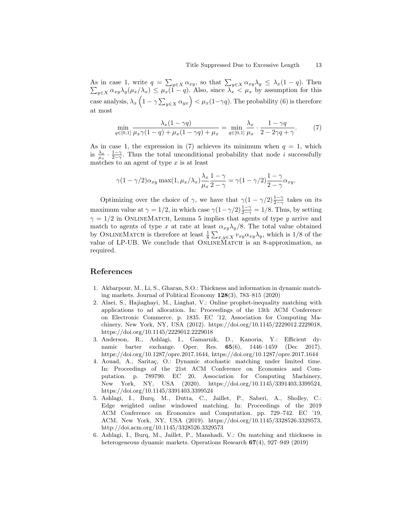As in case 1, write  $q = \sum_{y \in X} \alpha_{xy}$ , so that  $\sum_{y \in X} \alpha_{xy} \lambda_y \leq \lambda_x (1 - q)$ . Then  $\sum_{y \in X} \alpha_{xy} \lambda_y (\mu_x/\lambda_x) \leq \mu_x (1 - q)$ . Also, since  $\lambda_x < \mu_x$  by assumption for this case analysis,  $\lambda_x \left(1 - \gamma \sum_{y \in X} \alpha_{yx}\right) < \mu_x(1-\gamma q)$ . The probability (6) is therefore at most

$$
\min_{q \in [0,1]} \frac{\lambda_x (1 - \gamma q)}{\mu_x \gamma (1 - q) + \mu_x (1 - \gamma q) + \mu_x} = \min_{q \in [0,1]} \frac{\lambda_x}{\mu_x} \cdot \frac{1 - \gamma q}{2 - 2\gamma q + \gamma}.\tag{7}
$$

As in case 1, the expression in (7) achieves its minimum when  $q = 1$ , which is  $\frac{\lambda_x}{\mu_x} \cdot \frac{1-\gamma}{2-\gamma}$ . Thus the total unconditional probability that node *i* successfully matches to an agent of type  $x$  is at least

$$
\gamma (1 - \gamma/2) \alpha_{xy} \max(1, \mu_x/\lambda_x) \frac{\lambda_x}{\mu_x} \frac{1 - \gamma}{2 - \gamma} = \gamma (1 - \gamma/2) \frac{1 - \gamma}{2 - \gamma} \alpha_{xy}.
$$

Optimizing over the choice of  $\gamma$ , we have that  $\gamma(1-\gamma/2)\frac{1-\gamma}{2-\gamma}$  takes on its maximum value at  $\gamma = 1/2$ , in which case  $\gamma (1 - \gamma/2) \frac{1 - \gamma}{2 - \gamma} = 1/8$ . Thus, by setting  $\gamma = 1/2$  in ONLINEMATCH, Lemma 5 implies that agents of type y arrive and match to agents of type x at rate at least  $\alpha_{xy}\lambda_y/8$ . The total value obtained by ONLINEMATCH is therefore at least  $\frac{1}{8}\sum_{x,y\in X}v_{xy}\alpha_{xy}\lambda_y$ , which is 1/8 of the value of LP-UB. We conclude that ONLINEMATCH is an 8-approximation, as required.

## References

- 1. Akbarpour, M., Li, S., Gharan, S.O.: Thickness and information in dynamic matching markets. Journal of Political Economy 128(3), 783–815 (2020)
- 2. Alaei, S., Hajiaghayi, M., Liaghat, V.: Online prophet-inequality matching with applications to ad allocation. In: Proceedings of the 13th ACM Conference on Electronic Commerce. p. 1835. EC '12, Association for Computing Machinery, New York, NY, USA (2012). https://doi.org/10.1145/2229012.2229018, https://doi.org/10.1145/2229012.2229018
- 3. Anderson, R., Ashlagi, I., Gamarnik, D., Kanoria, Y.: Efficient dynamic barter exchange. Oper. Res. 65(6), 1446–1459 (Dec 2017). https://doi.org/10.1287/opre.2017.1644, https://doi.org/10.1287/opre.2017.1644
- 4. Aouad, A., Saritaç, O.: Dynamic stochastic matching under limited time. In: Proceedings of the 21st ACM Conference on Economics and Computation. p. 789790. EC 20, Association for Computing Machinery, New York, NY, USA (2020). https://doi.org/10.1145/3391403.3399524, https://doi.org/10.1145/3391403.3399524
- 5. Ashlagi, I., Burq, M., Dutta, C., Jaillet, P., Saberi, A., Sholley, C.: Edge weighted online windowed matching. In: Proceedings of the 2019 ACM Conference on Economics and Computation. pp. 729–742. EC '19, ACM, New York, NY, USA (2019). https://doi.org/10.1145/3328526.3329573, http://doi.acm.org/10.1145/3328526.3329573
- 6. Ashlagi, I., Burq, M., Jaillet, P., Manshadi, V.: On matching and thickness in heterogeneous dynamic markets. Operations Research 67(4), 927–949 (2019)